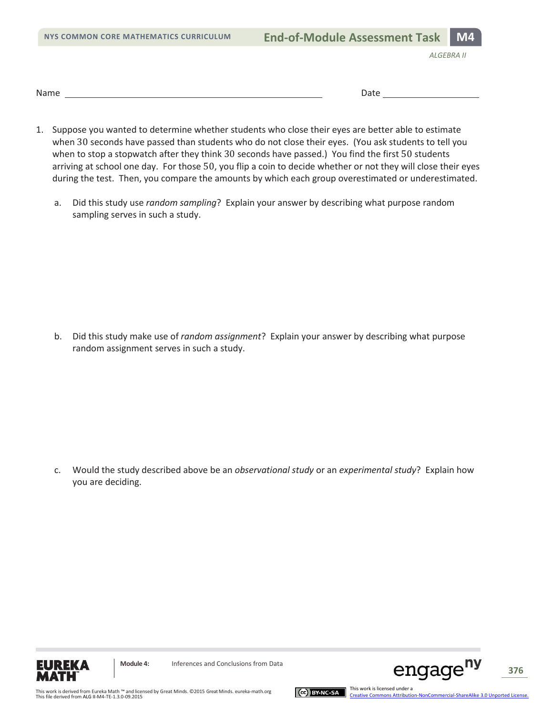**NYS COMMON CORE MATHEMATICS CURRICULUM** 

**End-of-Module Assessment Task M4** 

*ALGEBRA II*

Name Date

- 1. Suppose you wanted to determine whether students who close their eyes are better able to estimate when 30 seconds have passed than students who do not close their eyes. (You ask students to tell you when to stop a stopwatch after they think 30 seconds have passed.) You find the first 50 students arriving at school one day. For those 50, you flip a coin to decide whether or not they will close their eyes during the test. Then, you compare the amounts by which each group overestimated or underestimated.
	- a. Did this study use *random sampling*? Explain your answer by describing what purpose random sampling serves in such a study.

b. Did this study make use of *random assignment*? Explain your answer by describing what purpose random assignment serves in such a study.

c. Would the study described above be an *observational study* or an *experimental study*? Explain how you are deciding.





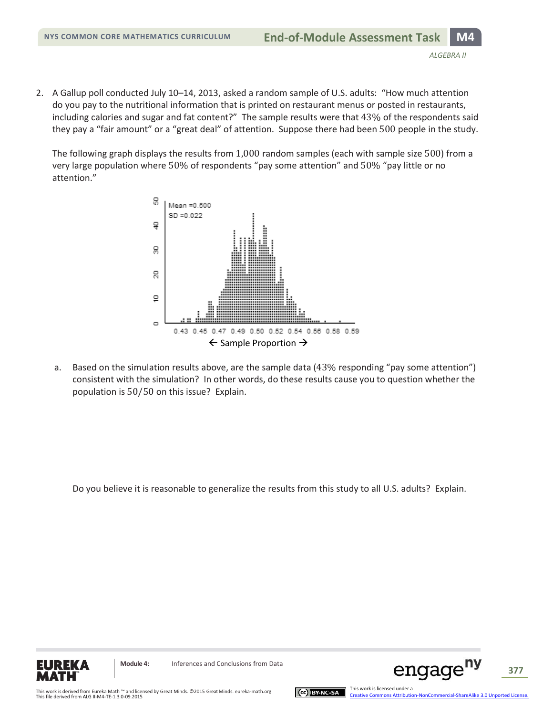2. A Gallup poll conducted July 10–14, 2013, asked a random sample of U.S. adults: "How much attention do you pay to the nutritional information that is printed on restaurant menus or posted in restaurants, including calories and sugar and fat content?" The sample results were that 43% of the respondents said they pay a "fair amount" or a "great deal" of attention. Suppose there had been 500 people in the study.

The following graph displays the results from 1,000 random samples (each with sample size 500) from a very large population where 50% of respondents "pay some attention" and 50% "pay little or no attention."



a. Based on the simulation results above, are the sample data (43% responding "pay some attention") consistent with the simulation? In other words, do these results cause you to question whether the population is 50/50 on this issue? Explain.

Do you believe it is reasonable to generalize the results from this study to all U.S. adults? Explain.





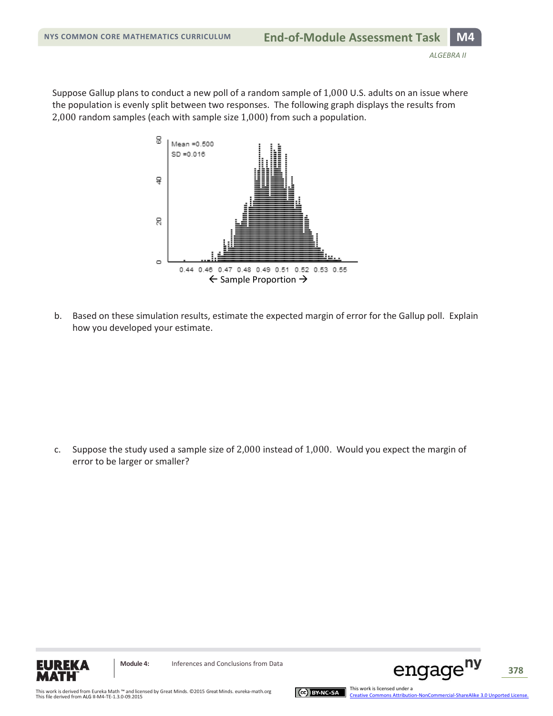Suppose Gallup plans to conduct a new poll of a random sample of 1,000 U.S. adults on an issue where the population is evenly split between two responses. The following graph displays the results from 2,000 random samples (each with sample size 1,000) from such a population.



b. Based on these simulation results, estimate the expected margin of error for the Gallup poll. Explain how you developed your estimate.

c. Suppose the study used a sample size of 2,000 instead of 1,000. Would you expect the margin of error to be larger or smaller?





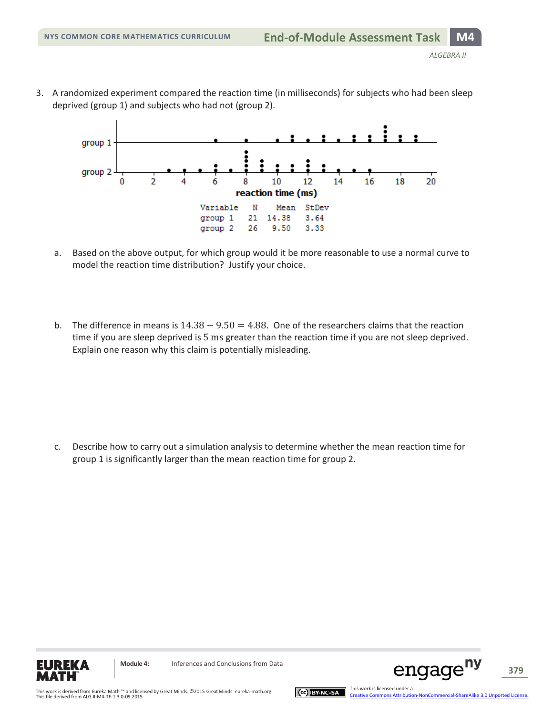3. A randomized experiment compared the reaction time (in milliseconds) for subjects who had been sleep deprived (group 1) and subjects who had not (group 2).



- a. Based on the above output, for which group would it be more reasonable to use a normal curve to model the reaction time distribution? Justify your choice.
- b. The difference in means is  $14.38 9.50 = 4.88$ . One of the researchers claims that the reaction time if you are sleep deprived is 5 ms greater than the reaction time if you are not sleep deprived. Explain one reason why this claim is potentially misleading.

c. Describe how to carry out a simulation analysis to determine whether the mean reaction time for group 1 is significantly larger than the mean reaction time for group 2.



**Module 4:** Inferences and Conclusions from Data





engage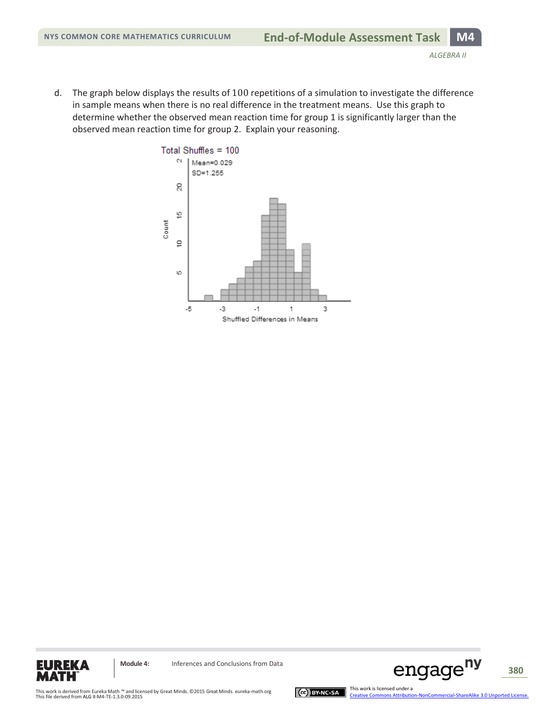d. The graph below displays the results of 100 repetitions of a simulation to investigate the difference in sample means when there is no real difference in the treatment means. Use this graph to determine whether the observed mean reaction time for group 1 is significantly larger than the observed mean reaction time for group 2. Explain your reasoning.







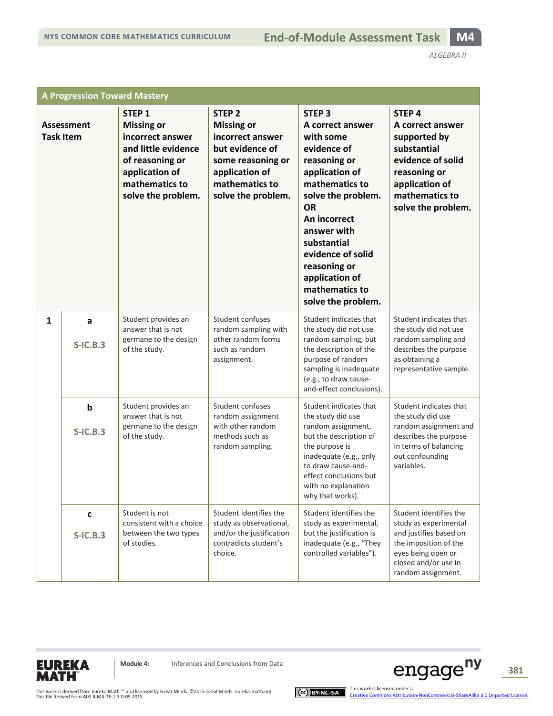*ALGEBRA II*

| <b>A Progression Toward Mastery</b>   |                 |                                                                                                                                                                |                                                                                                                                                              |                                                                                                                                                                                                                                                                                                       |                                                                                                                                                                        |  |
|---------------------------------------|-----------------|----------------------------------------------------------------------------------------------------------------------------------------------------------------|--------------------------------------------------------------------------------------------------------------------------------------------------------------|-------------------------------------------------------------------------------------------------------------------------------------------------------------------------------------------------------------------------------------------------------------------------------------------------------|------------------------------------------------------------------------------------------------------------------------------------------------------------------------|--|
| <b>Assessment</b><br><b>Task Item</b> |                 | STEP <sub>1</sub><br><b>Missing or</b><br>incorrect answer<br>and little evidence<br>of reasoning or<br>application of<br>mathematics to<br>solve the problem. | STEP <sub>2</sub><br><b>Missing or</b><br>incorrect answer<br>but evidence of<br>some reasoning or<br>application of<br>mathematics to<br>solve the problem. | STEP <sub>3</sub><br>A correct answer<br>with some<br>evidence of<br>reasoning or<br>application of<br>mathematics to<br>solve the problem.<br><b>OR</b><br>An incorrect<br>answer with<br>substantial<br>evidence of solid<br>reasoning or<br>application of<br>mathematics to<br>solve the problem. | STEP <sub>4</sub><br>A correct answer<br>supported by<br>substantial<br>evidence of solid<br>reasoning or<br>application of<br>mathematics to<br>solve the problem.    |  |
| $\mathbf{1}$                          | a<br>$S-IC.B.3$ | Student provides an<br>answer that is not<br>germane to the design<br>of the study.                                                                            | Student confuses<br>random sampling with<br>other random forms<br>such as random<br>assignment.                                                              | Student indicates that<br>the study did not use<br>random sampling, but<br>the description of the<br>purpose of random<br>sampling is inadequate<br>(e.g., to draw cause-<br>and-effect conclusions).                                                                                                 | Student indicates that<br>the study did not use<br>random sampling and<br>describes the purpose<br>as obtaining a<br>representative sample.                            |  |
|                                       | b<br>$S-IC.B.3$ | Student provides an<br>answer that is not<br>germane to the design<br>of the study.                                                                            | Student confuses<br>random assignment<br>with other random<br>methods such as<br>random sampling.                                                            | Student indicates that<br>the study did use<br>random assignment,<br>but the description of<br>the purpose is<br>inadequate (e.g., only<br>to draw cause-and-<br>effect conclusions but<br>with no explanation<br>why that works).                                                                    | Student indicates that<br>the study did use<br>random assignment and<br>describes the purpose<br>in terms of balancing<br>out confounding<br>variables.                |  |
|                                       | C<br>$S-IC.B.3$ | Student is not<br>consistent with a choice<br>between the two types<br>of studies.                                                                             | Student identifies the<br>study as observational,<br>and/or the justification<br>contradicts student's<br>choice.                                            | Student identifies the<br>study as experimental,<br>but the justification is<br>inadequate (e.g., "They<br>controlled variables").                                                                                                                                                                    | Student identifies the<br>study as experimental<br>and justifies based on<br>the imposition of the<br>eyes being open or<br>closed and/or use in<br>random assignment. |  |



**Module 4:** Inferences and Conclusions from Data



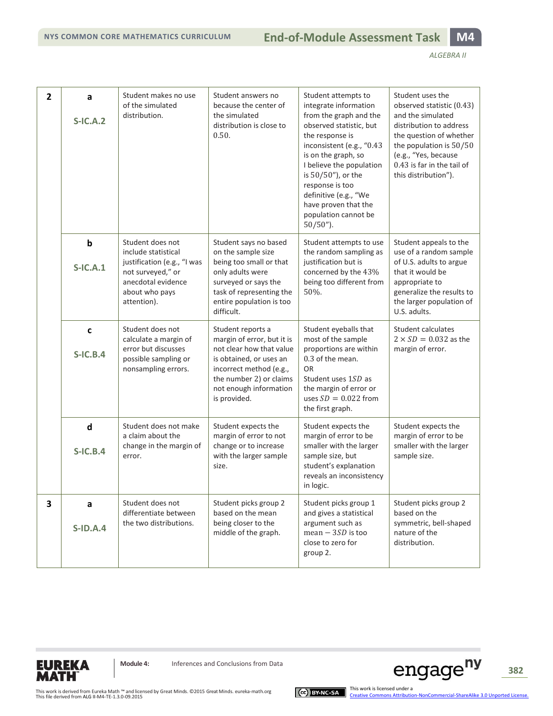| $\overline{2}$ | a<br>$S-IC.A.2$                 | Student makes no use<br>of the simulated<br>distribution.                                                                                          | Student answers no<br>because the center of<br>the simulated<br>distribution is close to<br>0.50.                                                                                                      | Student attempts to<br>integrate information<br>from the graph and the<br>observed statistic, but<br>the response is<br>inconsistent (e.g., "0.43<br>is on the graph, so<br>I believe the population<br>is 50/50"), or the<br>response is too<br>definitive (e.g., "We<br>have proven that the<br>population cannot be<br>$50/50$ "). | Student uses the<br>observed statistic (0.43)<br>and the simulated<br>distribution to address<br>the question of whether<br>the population is 50/50<br>(e.g., "Yes, because<br>0.43 is far in the tail of<br>this distribution"). |
|----------------|---------------------------------|----------------------------------------------------------------------------------------------------------------------------------------------------|--------------------------------------------------------------------------------------------------------------------------------------------------------------------------------------------------------|---------------------------------------------------------------------------------------------------------------------------------------------------------------------------------------------------------------------------------------------------------------------------------------------------------------------------------------|-----------------------------------------------------------------------------------------------------------------------------------------------------------------------------------------------------------------------------------|
|                | $\mathbf b$<br>$S-IC.A.1$       | Student does not<br>include statistical<br>justification (e.g., "I was<br>not surveyed," or<br>anecdotal evidence<br>about who pays<br>attention). | Student says no based<br>on the sample size<br>being too small or that<br>only adults were<br>surveyed or says the<br>task of representing the<br>entire population is too<br>difficult.               | Student attempts to use<br>the random sampling as<br>justification but is<br>concerned by the 43%<br>being too different from<br>50%.                                                                                                                                                                                                 | Student appeals to the<br>use of a random sample<br>of U.S. adults to argue<br>that it would be<br>appropriate to<br>generalize the results to<br>the larger population of<br>U.S. adults.                                        |
|                | $\mathbf c$<br><b>S-IC.B.4</b>  | Student does not<br>calculate a margin of<br>error but discusses<br>possible sampling or<br>nonsampling errors.                                    | Student reports a<br>margin of error, but it is<br>not clear how that value<br>is obtained, or uses an<br>incorrect method (e.g.,<br>the number 2) or claims<br>not enough information<br>is provided. | Student eyeballs that<br>most of the sample<br>proportions are within<br>0.3 of the mean.<br><b>OR</b><br>Student uses 1SD as<br>the margin of error or<br>uses $SD = 0.022$ from<br>the first graph.                                                                                                                                 | Student calculates<br>$2 \times SD = 0.032$ as the<br>margin of error.                                                                                                                                                            |
|                | $\mathsf{d}$<br><b>S-IC.B.4</b> | Student does not make<br>a claim about the<br>change in the margin of<br>error.                                                                    | Student expects the<br>margin of error to not<br>change or to increase<br>with the larger sample<br>size.                                                                                              | Student expects the<br>margin of error to be<br>smaller with the larger<br>sample size, but<br>student's explanation<br>reveals an inconsistency<br>in logic.                                                                                                                                                                         | Student expects the<br>margin of error to be<br>smaller with the larger<br>sample size.                                                                                                                                           |
| 3              | a<br><b>S-ID.A.4</b>            | Student does not<br>differentiate between<br>the two distributions.                                                                                | Student picks group 2<br>based on the mean<br>being closer to the<br>middle of the graph.                                                                                                              | Student picks group 1<br>and gives a statistical<br>argument such as<br>mean $-$ 3SD is too<br>close to zero for<br>group 2.                                                                                                                                                                                                          | Student picks group 2<br>based on the<br>symmetric, bell-shaped<br>nature of the<br>distribution.                                                                                                                                 |



**Module 4:** Inferences and Conclusions from Data



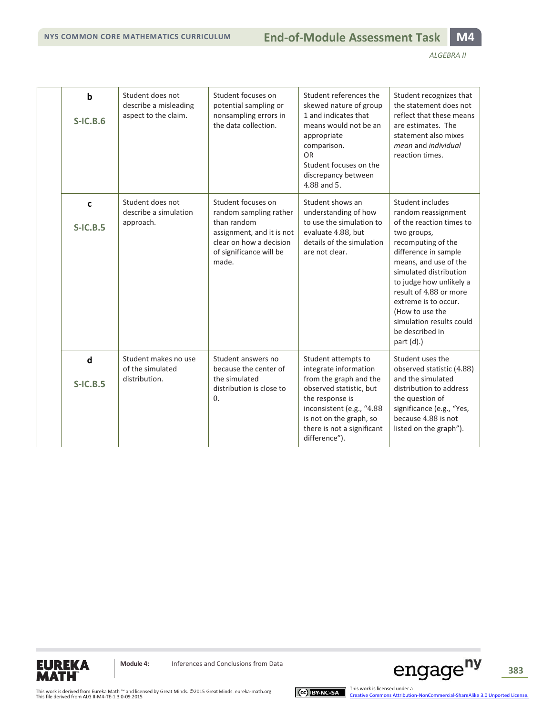|  | b<br>$S-IC.B.6$           | Student does not<br>describe a misleading<br>aspect to the claim. | Student focuses on<br>potential sampling or<br>nonsampling errors in<br>the data collection.                                                            | Student references the<br>skewed nature of group<br>1 and indicates that<br>means would not be an<br>appropriate<br>comparison.<br>OR<br>Student focuses on the<br>discrepancy between<br>4.88 and 5.                       | Student recognizes that<br>the statement does not<br>reflect that these means<br>are estimates. The<br>statement also mixes<br>mean and individual<br>reaction times.                                                                                                                                                                            |
|--|---------------------------|-------------------------------------------------------------------|---------------------------------------------------------------------------------------------------------------------------------------------------------|-----------------------------------------------------------------------------------------------------------------------------------------------------------------------------------------------------------------------------|--------------------------------------------------------------------------------------------------------------------------------------------------------------------------------------------------------------------------------------------------------------------------------------------------------------------------------------------------|
|  | $\mathbf c$<br>$S-IC.B.5$ | Student does not<br>describe a simulation<br>approach.            | Student focuses on<br>random sampling rather<br>than random<br>assignment, and it is not<br>clear on how a decision<br>of significance will be<br>made. | Student shows an<br>understanding of how<br>to use the simulation to<br>evaluate 4.88, but<br>details of the simulation<br>are not clear.                                                                                   | Student includes<br>random reassignment<br>of the reaction times to<br>two groups,<br>recomputing of the<br>difference in sample<br>means, and use of the<br>simulated distribution<br>to judge how unlikely a<br>result of 4.88 or more<br>extreme is to occur.<br>(How to use the<br>simulation results could<br>be described in<br>part (d).) |
|  | d<br>$S-IC.B.5$           | Student makes no use<br>of the simulated<br>distribution.         | Student answers no<br>because the center of<br>the simulated<br>distribution is close to<br>$\theta$ .                                                  | Student attempts to<br>integrate information<br>from the graph and the<br>observed statistic, but<br>the response is<br>inconsistent (e.g., "4.88<br>is not on the graph, so<br>there is not a significant<br>difference"). | Student uses the<br>observed statistic (4.88)<br>and the simulated<br>distribution to address<br>the question of<br>significance (e.g., "Yes,<br>because 4.88 is not<br>listed on the graph").                                                                                                                                                   |



**Module 4:** Inferences and Conclusions from Data

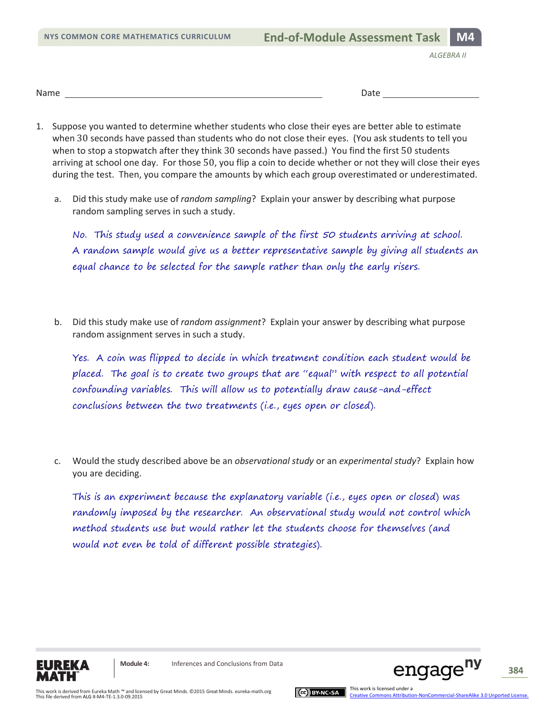*ALGEBRA II*

Name Date

- 1. Suppose you wanted to determine whether students who close their eyes are better able to estimate when 30 seconds have passed than students who do not close their eyes. (You ask students to tell you when to stop a stopwatch after they think 30 seconds have passed.) You find the first 50 students arriving at school one day. For those 50, you flip a coin to decide whether or not they will close their eyes during the test. Then, you compare the amounts by which each group overestimated or underestimated.
	- a. Did this study make use of *random sampling*? Explain your answer by describing what purpose random sampling serves in such a study.

No. This study used a convenience sample of the first 50 students arriving at school. A random sample would give us a better representative sample by giving all students an equal chance to be selected for the sample rather than only the early risers.

b. Did this study make use of *random assignment*? Explain your answer by describing what purpose random assignment serves in such a study.

Yes. A coin was flipped to decide in which treatment condition each student would be placed. The goal is to create two groups that are "equal" with respect to all potential confounding variables. This will allow us to potentially draw cause-and-effect conclusions between the two treatments (i.e., eyes open or closed).

c. Would the study described above be an *observational study* or an *experimental study*? Explain how you are deciding.

This is an experiment because the explanatory variable (i.e., eyes open or closed) was randomly imposed by the researcher. An observational study would not control which method students use but would rather let the students choose for themselves (and would not even be told of different possible strategies).





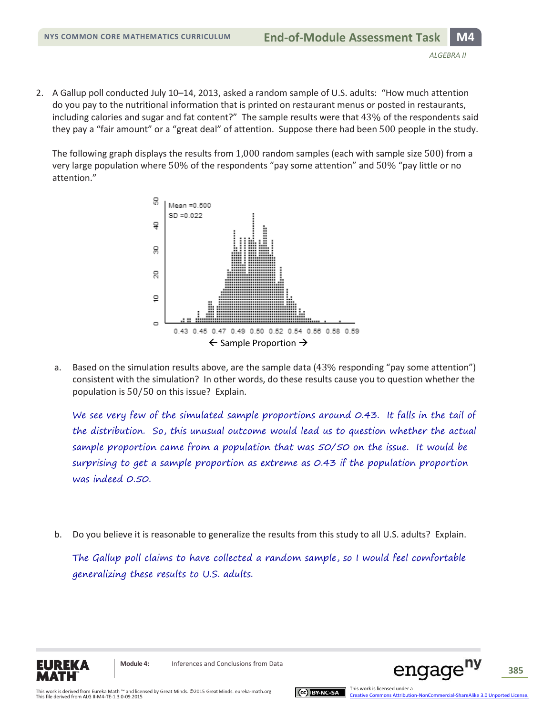2. A Gallup poll conducted July 10–14, 2013, asked a random sample of U.S. adults: "How much attention do you pay to the nutritional information that is printed on restaurant menus or posted in restaurants, including calories and sugar and fat content?" The sample results were that 43% of the respondents said they pay a "fair amount" or a "great deal" of attention. Suppose there had been 500 people in the study.

The following graph displays the results from 1,000 random samples (each with sample size 500) from a very large population where 50% of the respondents "pay some attention" and 50% "pay little or no attention."



a. Based on the simulation results above, are the sample data (43% responding "pay some attention") consistent with the simulation? In other words, do these results cause you to question whether the population is 50/50 on this issue? Explain.

We see very few of the simulated sample proportions around 0.43. It falls in the tail of the distribution. So, this unusual outcome would lead us to question whether the actual sample proportion came from a population that was 50/50 on the issue. It would be surprising to get a sample proportion as extreme as 0.43 if the population proportion was indeed 0.50.

b. Do you believe it is reasonable to generalize the results from this study to all U.S. adults? Explain.

The Gallup poll claims to have collected a random sample, so I would feel comfortable generalizing these results to U.S. adults.



**Module 4:** Inferences and Conclusions from Data



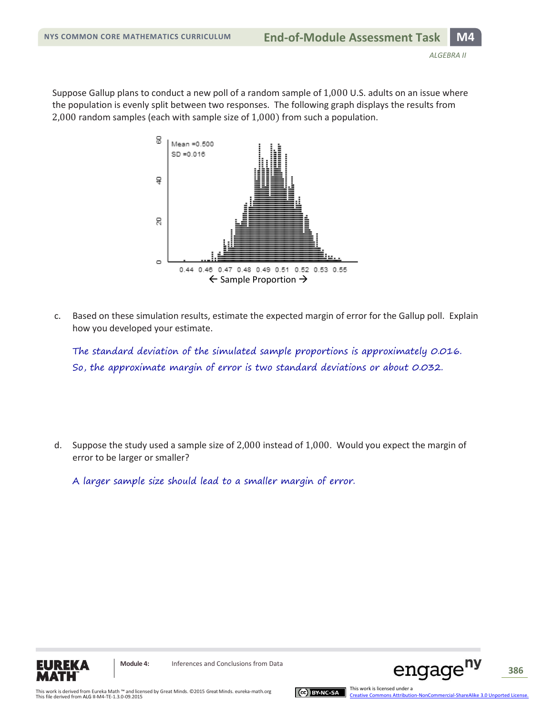Suppose Gallup plans to conduct a new poll of a random sample of 1,000 U.S. adults on an issue where the population is evenly split between two responses. The following graph displays the results from 2,000 random samples (each with sample size of 1,000) from such a population.



c. Based on these simulation results, estimate the expected margin of error for the Gallup poll. Explain how you developed your estimate.

The standard deviation of the simulated sample proportions is approximately 0.016. So, the approximate margin of error is two standard deviations or about 0.032.

d. Suppose the study used a sample size of 2,000 instead of 1,000. Would you expect the margin of error to be larger or smaller?

A larger sample size should lead to a smaller margin of error.





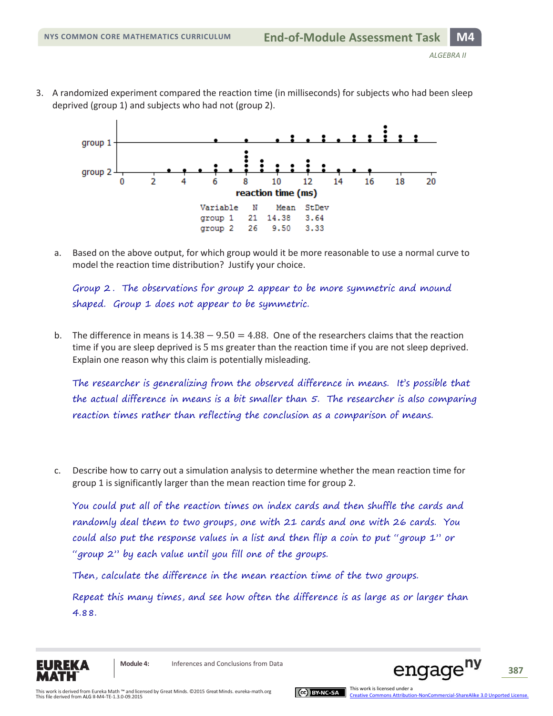3. A randomized experiment compared the reaction time (in milliseconds) for subjects who had been sleep deprived (group 1) and subjects who had not (group 2).



a. Based on the above output, for which group would it be more reasonable to use a normal curve to model the reaction time distribution? Justify your choice.

Group 2 . The observations for group 2 appear to be more symmetric and mound shaped. Group 1 does not appear to be symmetric.

b. The difference in means is  $14.38 - 9.50 = 4.88$ . One of the researchers claims that the reaction time if you are sleep deprived is 5 ms greater than the reaction time if you are not sleep deprived. Explain one reason why this claim is potentially misleading.

The researcher is generalizing from the observed difference in means. It's possible that the actual difference in means is a bit smaller than 5. The researcher is also comparing reaction times rather than reflecting the conclusion as a comparison of means.

c. Describe how to carry out a simulation analysis to determine whether the mean reaction time for group 1 is significantly larger than the mean reaction time for group 2.

You could put all of the reaction times on index cards and then shuffle the cards and randomly deal them to two groups, one with 21 cards and one with 26 cards. You could also put the response values in a list and then flip a coin to put "group 1" or "group 2" by each value until you fill one of the groups.

Then, calculate the difference in the mean reaction time of the two groups.

Repeat this many times, and see how often the difference is as large as or larger than 4.88.